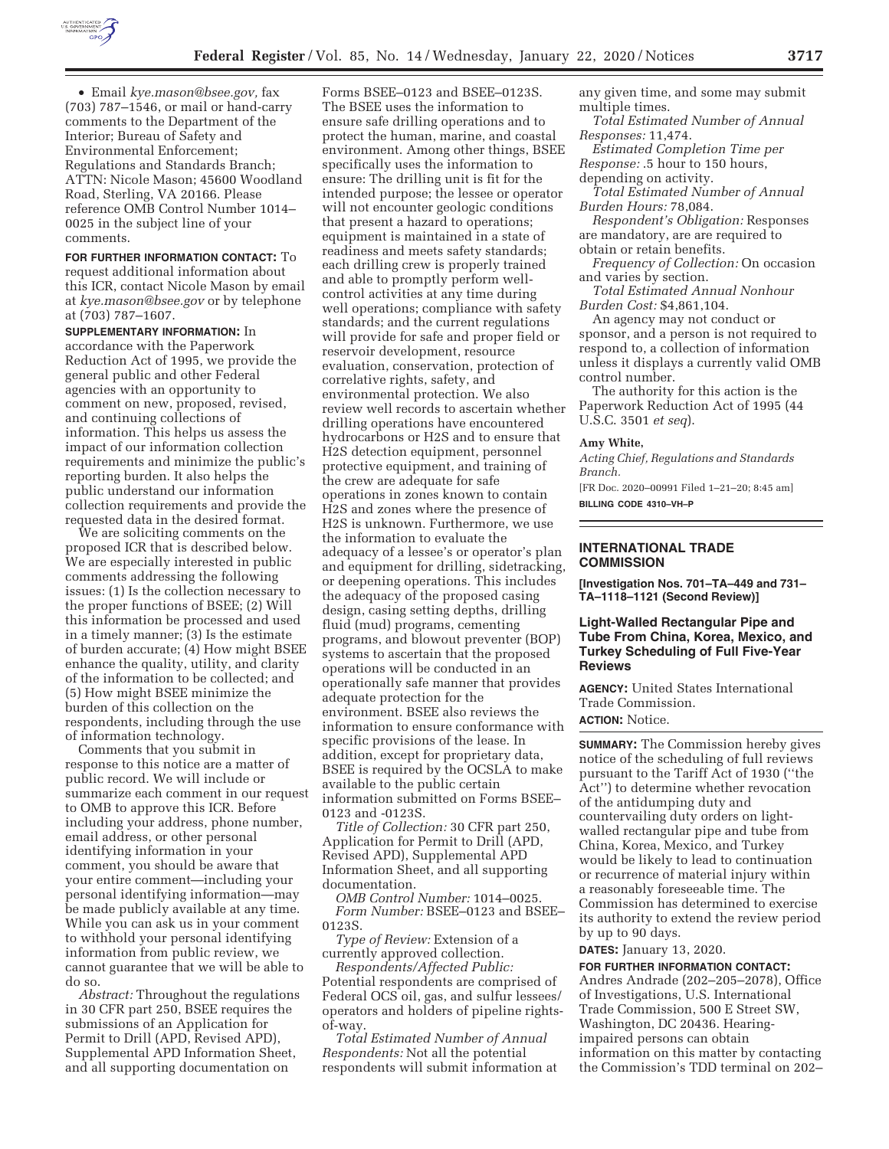

• Email *kye.mason@bsee.gov,* fax (703) 787–1546, or mail or hand-carry comments to the Department of the Interior; Bureau of Safety and Environmental Enforcement; Regulations and Standards Branch; ATTN: Nicole Mason; 45600 Woodland Road, Sterling, VA 20166. Please reference OMB Control Number 1014– 0025 in the subject line of your comments.

**FOR FURTHER INFORMATION CONTACT:** To request additional information about this ICR, contact Nicole Mason by email at *kye.mason@bsee.gov* or by telephone at (703) 787–1607.

**SUPPLEMENTARY INFORMATION:** In accordance with the Paperwork Reduction Act of 1995, we provide the general public and other Federal agencies with an opportunity to comment on new, proposed, revised, and continuing collections of information. This helps us assess the impact of our information collection requirements and minimize the public's reporting burden. It also helps the public understand our information collection requirements and provide the requested data in the desired format.

We are soliciting comments on the proposed ICR that is described below. We are especially interested in public comments addressing the following issues: (1) Is the collection necessary to the proper functions of BSEE; (2) Will this information be processed and used in a timely manner; (3) Is the estimate of burden accurate; (4) How might BSEE enhance the quality, utility, and clarity of the information to be collected; and (5) How might BSEE minimize the burden of this collection on the respondents, including through the use of information technology.

Comments that you submit in response to this notice are a matter of public record. We will include or summarize each comment in our request to OMB to approve this ICR. Before including your address, phone number, email address, or other personal identifying information in your comment, you should be aware that your entire comment—including your personal identifying information—may be made publicly available at any time. While you can ask us in your comment to withhold your personal identifying information from public review, we cannot guarantee that we will be able to do so.

*Abstract:* Throughout the regulations in 30 CFR part 250, BSEE requires the submissions of an Application for Permit to Drill (APD, Revised APD), Supplemental APD Information Sheet, and all supporting documentation on

Forms BSEE–0123 and BSEE–0123S. The BSEE uses the information to ensure safe drilling operations and to protect the human, marine, and coastal environment. Among other things, BSEE specifically uses the information to ensure: The drilling unit is fit for the intended purpose; the lessee or operator will not encounter geologic conditions that present a hazard to operations; equipment is maintained in a state of readiness and meets safety standards; each drilling crew is properly trained and able to promptly perform wellcontrol activities at any time during well operations; compliance with safety standards; and the current regulations will provide for safe and proper field or reservoir development, resource evaluation, conservation, protection of correlative rights, safety, and environmental protection. We also review well records to ascertain whether drilling operations have encountered hydrocarbons or H2S and to ensure that H2S detection equipment, personnel protective equipment, and training of the crew are adequate for safe operations in zones known to contain H2S and zones where the presence of H2S is unknown. Furthermore, we use the information to evaluate the adequacy of a lessee's or operator's plan and equipment for drilling, sidetracking, or deepening operations. This includes the adequacy of the proposed casing design, casing setting depths, drilling fluid (mud) programs, cementing programs, and blowout preventer (BOP) systems to ascertain that the proposed operations will be conducted in an operationally safe manner that provides adequate protection for the environment. BSEE also reviews the information to ensure conformance with specific provisions of the lease. In addition, except for proprietary data, BSEE is required by the OCSLA to make available to the public certain information submitted on Forms BSEE– 0123 and -0123S.

*Title of Collection:* 30 CFR part 250, Application for Permit to Drill (APD, Revised APD), Supplemental APD Information Sheet, and all supporting documentation.

*OMB Control Number:* 1014–0025. *Form Number:* BSEE–0123 and BSEE– 0123S.

*Type of Review:* Extension of a currently approved collection.

*Respondents/Affected Public:*  Potential respondents are comprised of Federal OCS oil, gas, and sulfur lessees/ operators and holders of pipeline rightsof-way.

*Total Estimated Number of Annual Respondents:* Not all the potential respondents will submit information at any given time, and some may submit multiple times.

*Total Estimated Number of Annual Responses:* 11,474.

*Estimated Completion Time per Response:* .5 hour to 150 hours, depending on activity.

*Total Estimated Number of Annual Burden Hours:* 78,084.

*Respondent's Obligation:* Responses are mandatory, are are required to obtain or retain benefits.

*Frequency of Collection:* On occasion and varies by section.

*Total Estimated Annual Nonhour Burden Cost:* \$4,861,104.

An agency may not conduct or sponsor, and a person is not required to respond to, a collection of information unless it displays a currently valid OMB control number.

The authority for this action is the Paperwork Reduction Act of 1995 (44 U.S.C. 3501 *et seq*).

### **Amy White,**

*Acting Chief, Regulations and Standards Branch.* 

[FR Doc. 2020–00991 Filed 1–21–20; 8:45 am] **BILLING CODE 4310–VH–P** 

# **INTERNATIONAL TRADE COMMISSION**

**[Investigation Nos. 701–TA–449 and 731– TA–1118–1121 (Second Review)]** 

# **Light-Walled Rectangular Pipe and Tube From China, Korea, Mexico, and Turkey Scheduling of Full Five-Year Reviews**

**AGENCY:** United States International Trade Commission.

# **ACTION:** Notice.

**SUMMARY:** The Commission hereby gives notice of the scheduling of full reviews pursuant to the Tariff Act of 1930 (''the Act'') to determine whether revocation of the antidumping duty and countervailing duty orders on lightwalled rectangular pipe and tube from China, Korea, Mexico, and Turkey would be likely to lead to continuation or recurrence of material injury within a reasonably foreseeable time. The Commission has determined to exercise its authority to extend the review period by up to 90 days.

**DATES:** January 13, 2020.

**FOR FURTHER INFORMATION CONTACT:**  Andres Andrade (202–205–2078), Office of Investigations, U.S. International Trade Commission, 500 E Street SW, Washington, DC 20436. Hearingimpaired persons can obtain information on this matter by contacting the Commission's TDD terminal on 202–